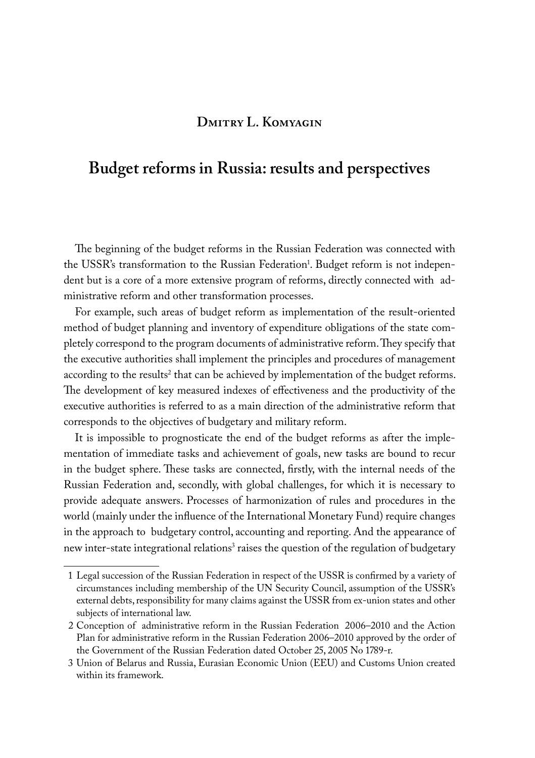## **Dmitry L. Komyagin**

# **Budget reforms in Russia: results and perspectives**

The beginning of the budget reforms in the Russian Federation was connected with the USSR's transformation to the Russian Federation<sup>1</sup>. Budget reform is not independent but is a core of a more extensive program of reforms, directly connected with administrative reform and other transformation processes.

For example, such areas of budget reform as implementation of the result-oriented method of budget planning and inventory of expenditure obligations of the state completely correspond to the program documents of administrative reform. They specify that the executive authorities shall implement the principles and procedures of management according to the results<sup>2</sup> that can be achieved by implementation of the budget reforms. The development of key measured indexes of effectiveness and the productivity of the executive authorities is referred to as a main direction of the administrative reform that corresponds to the objectives of budgetary and military reform.

It is impossible to prognosticate the end of the budget reforms as after the implementation of immediate tasks and achievement of goals, new tasks are bound to recur in the budget sphere. These tasks are connected, firstly, with the internal needs of the Russian Federation and, secondly, with global challenges, for which it is necessary to provide adequate answers. Processes of harmonization of rules and procedures in the world (mainly under the influence of the International Monetary Fund) require changes in the approach to budgetary control, accounting and reporting. And the appearance of new inter-state integrational relations<sup>3</sup> raises the question of the regulation of budgetary

<sup>1</sup> Legal succession of the Russian Federation in respect of the USSR is confirmed by a variety of circumstances including membership of the UN Security Council, assumption of the USSR's external debts, responsibility for many claims against the USSR from ex-union states and other subjects of international law.

<sup>2</sup> Conception of administrative reform in the Russian Federation 2006–2010 and the Action Plan for administrative reform in the Russian Federation 2006–2010 approved by the order of the Government of the Russian Federation dated October 25, 2005 No 1789-r.

<sup>3</sup> Union of Belarus and Russia, Eurasian Economic Union (EEU) and Customs Union created within its framework.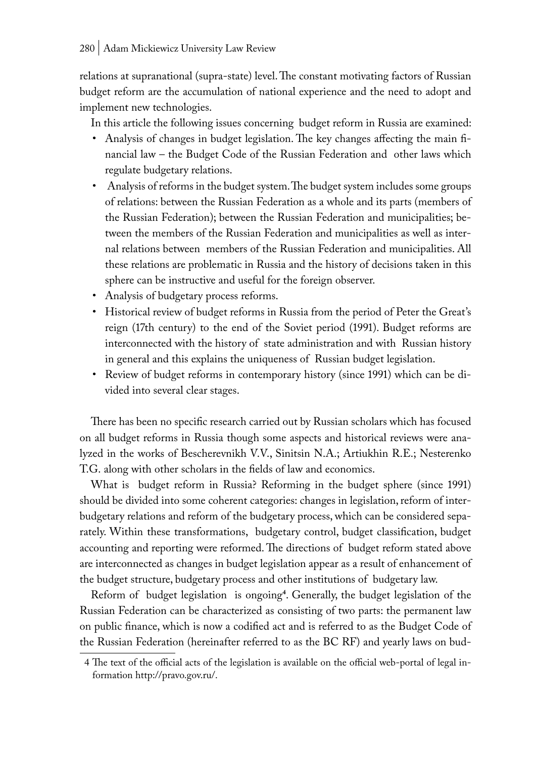relations at supranational (supra-state) level. The constant motivating factors of Russian budget reform are the accumulation of national experience and the need to adopt and implement new technologies.

In this article the following issues concerning budget reform in Russia are examined:

- Analysis of changes in budget legislation. The key changes affecting the main financial law – the Budget Code of the Russian Federation and other laws which regulate budgetary relations.
- Analysis of reforms in the budget system. The budget system includes some groups of relations: between the Russian Federation as a whole and its parts (members of the Russian Federation); between the Russian Federation and municipalities; between the members of the Russian Federation and municipalities as well as internal relations between members of the Russian Federation and municipalities. All these relations are problematic in Russia and the history of decisions taken in this sphere can be instructive and useful for the foreign observer.
- Analysis of budgetary process reforms.
- Historical review of budget reforms in Russia from the period of Peter the Great's reign (17th century) to the end of the Soviet period (1991). Budget reforms are interconnected with the history of state administration and with Russian history in general and this explains the uniqueness of Russian budget legislation.
- Review of budget reforms in contemporary history (since 1991) which can be divided into several clear stages.

There has been no specific research carried out by Russian scholars which has focused on all budget reforms in Russia though some aspects and historical reviews were analyzed in the works of Bescherevnikh V.V., Sinitsin N.A.; Artiukhin R.E.; Nesterenko T.G. along with other scholars in the fields of law and economics.

What is budget reform in Russia? Reforming in the budget sphere (since 1991) should be divided into some coherent categories: changes in legislation, reform of interbudgetary relations and reform of the budgetary process, which can be considered separately. Within these transformations, budgetary control, budget classification, budget accounting and reporting were reformed. The directions of budget reform stated above are interconnected as changes in budget legislation appear as a result of enhancement of the budget structure, budgetary process and other institutions of budgetary law.

Reform of budget legislation is ongoing**<sup>4</sup>** . Generally, the budget legislation of the Russian Federation can be characterized as consisting of two parts: the permanent law on public finance, which is now a codified act and is referred to as the Budget Code of the Russian Federation (hereinafter referred to as the BC RF) and yearly laws on bud-

<sup>4</sup> The text of the official acts of the legislation is available on the official web-portal of legal information http://pravo.gov.ru/.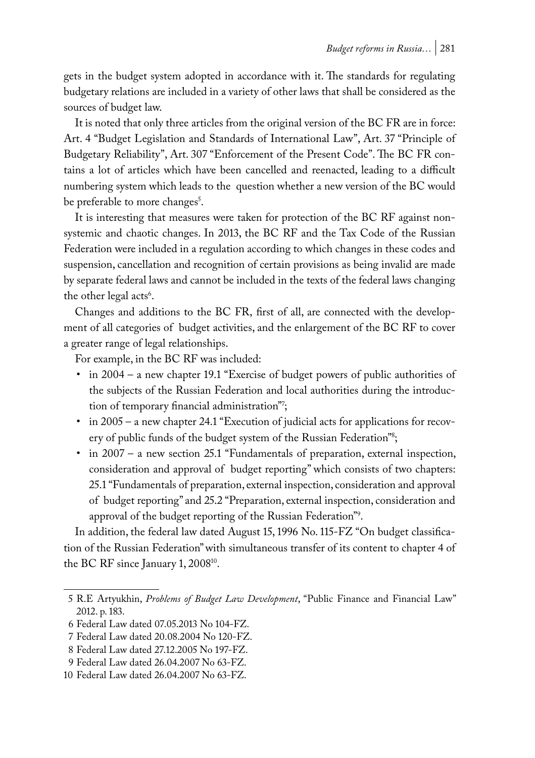gets in the budget system adopted in accordance with it. The standards for regulating budgetary relations are included in a variety of other laws that shall be considered as the sources of budget law.

It is noted that only three articles from the original version of the BC FR are in force: Art. 4 "Budget Legislation and Standards of International Law", Art. 37 "Principle of Budgetary Reliability", Art. 307 "Enforcement of the Present Code". The BC FR contains a lot of articles which have been cancelled and reenacted, leading to a difficult numbering system which leads to the question whether a new version of the BC would be preferable to more changes<sup>5</sup>.

It is interesting that measures were taken for protection of the BC RF against nonsystemic and chaotic changes. In 2013, the BC RF and the Tax Code of the Russian Federation were included in a regulation according to which changes in these codes and suspension, cancellation and recognition of certain provisions as being invalid are made by separate federal laws and cannot be included in the texts of the federal laws changing the other legal acts<sup>6</sup>.

Changes and additions to the BC FR, first of all, are connected with the development of all categories of budget activities, and the enlargement of the BC RF to cover a greater range of legal relationships.

For example, in the BC RF was included:

- in 2004 a new chapter 19.1 "Exercise of budget powers of public authorities of the subjects of the Russian Federation and local authorities during the introduction of temporary financial administration"<sup>'</sup>;
- in 2005 a new chapter 24.1 "Execution of judicial acts for applications for recovery of public funds of the budget system of the Russian Federation"<sup>s</sup>;
- in 2007 a new section 25.1 "Fundamentals of preparation, external inspection, consideration and approval of budget reporting" which consists of two chapters: 25.1 "Fundamentals of preparation, external inspection, consideration and approval of budget reporting" and 25.2 "Preparation, external inspection, consideration and approval of the budget reporting of the Russian Federation"9 .

In addition, the federal law dated August 15, 1996 No. 115-FZ "On budget classification of the Russian Federation" with simultaneous transfer of its content to chapter 4 of the BC RF since January 1, 2008<sup>10</sup>.

<sup>5</sup> R.E Artyukhin, *Problems of Budget Law Development*, "Public Finance and Financial Law" 2012. p. 183.

<sup>6</sup> Federal Law dated 07.05.2013 No 104-FZ.

<sup>7</sup> Federal Law dated 20.08.2004 No 120-FZ.

<sup>8</sup> Federal Law dated 27.12.2005 No 197-FZ.

<sup>9</sup> Federal Law dated 26.04.2007 No 63-FZ.

<sup>10</sup> Federal Law dated 26.04.2007 No 63-FZ.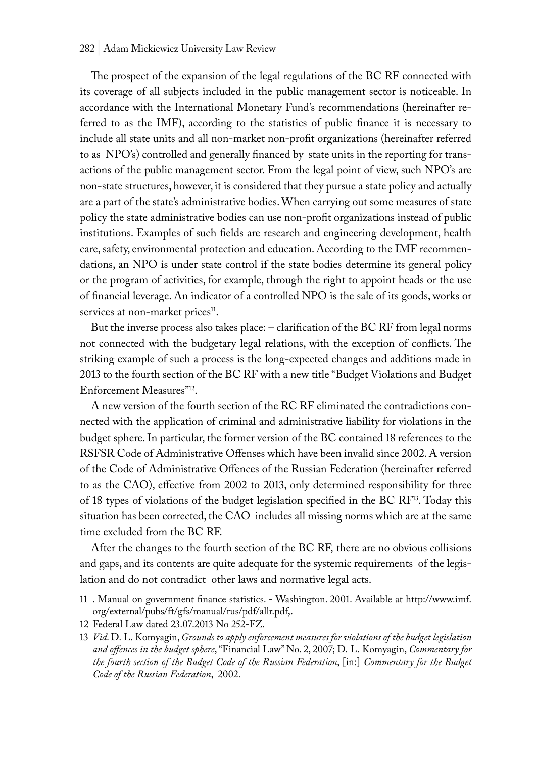#### 282 | Adam Mickiewicz University Law Review

The prospect of the expansion of the legal regulations of the BC RF connected with its coverage of all subjects included in the public management sector is noticeable. In accordance with the International Monetary Fund's recommendations (hereinafter referred to as the IMF), according to the statistics of public finance it is necessary to include all state units and all non-market non-profit organizations (hereinafter referred to as NPO's) controlled and generally financed by state units in the reporting for transactions of the public management sector. From the legal point of view, such NPO's are non-state structures, however, it is considered that they pursue a state policy and actually are a part of the state's administrative bodies. When carrying out some measures of state policy the state administrative bodies can use non-profit organizations instead of public institutions. Examples of such fields are research and engineering development, health care, safety, environmental protection and education. According to the IMF recommendations, an NPO is under state control if the state bodies determine its general policy or the program of activities, for example, through the right to appoint heads or the use of financial leverage. An indicator of a controlled NPO is the sale of its goods, works or services at non-market prices<sup>11</sup>.

But the inverse process also takes place: – clarification of the BC RF from legal norms not connected with the budgetary legal relations, with the exception of conflicts. The striking example of such a process is the long-expected changes and additions made in 2013 to the fourth section of the BC RF with a new title "Budget Violations and Budget Enforcement Measures"12.

A new version of the fourth section of the RC RF eliminated the contradictions connected with the application of criminal and administrative liability for violations in the budget sphere. In particular, the former version of the BC contained 18 references to the RSFSR Code of Administrative Offenses which have been invalid since 2002. A version of the Code of Administrative Offences of the Russian Federation (hereinafter referred to as the CAO), effective from 2002 to 2013, only determined responsibility for three of 18 types of violations of the budget legislation specified in the BC RF<sup>13</sup>. Today this situation has been corrected, the CAO includes all missing norms which are at the same time excluded from the BC RF.

After the changes to the fourth section of the BC RF, there are no obvious collisions and gaps, and its contents are quite adequate for the systemic requirements of the legislation and do not contradict other laws and normative legal acts.

<sup>11</sup> . Manual on government finance statistics. - Washington. 2001. Available at http://www.imf. org/external/pubs/ft/gfs/manual/rus/pdf/allr.pdf,.

<sup>12</sup> Federal Law dated 23.07.2013 No 252-FZ.

<sup>13</sup> *Vid*. D. L. Komyagin, *Grounds to apply enforcement measures for violations of the budget legislation and offences in the budget sphere*, "Financial Law" No. 2, 2007; D. L. Komyagin, *Commentary for the fourth section of the Budget Code of the Russian Federation*, [in:] *Commentary for the Budget Code of the Russian Federation*, 2002.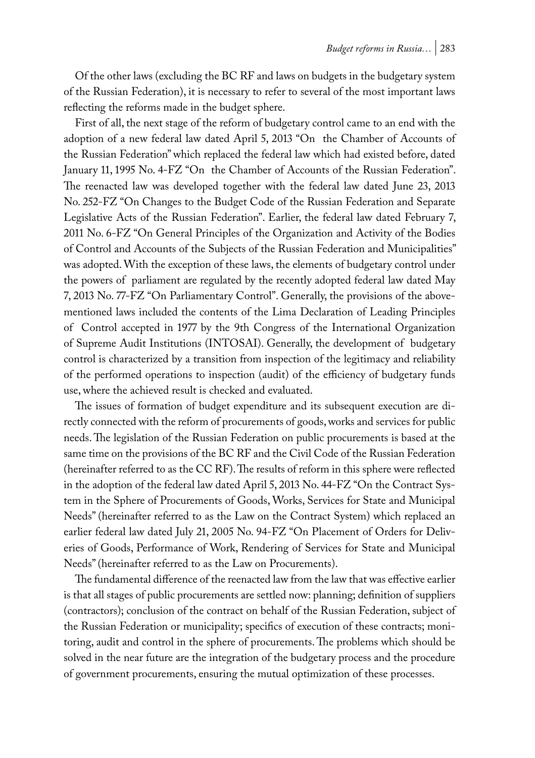Of the other laws (excluding the BC RF and laws on budgets in the budgetary system of the Russian Federation), it is necessary to refer to several of the most important laws reflecting the reforms made in the budget sphere.

First of all, the next stage of the reform of budgetary control came to an end with the adoption of a new federal law dated April 5, 2013 "On the Chamber of Accounts of the Russian Federation" which replaced the federal law which had existed before, dated January 11, 1995 No. 4-FZ "On the Chamber of Accounts of the Russian Federation". The reenacted law was developed together with the federal law dated June 23, 2013 No. 252-FZ "On Changes to the Budget Code of the Russian Federation and Separate Legislative Acts of the Russian Federation". Earlier, the federal law dated February 7, 2011 No. 6-FZ "On General Principles of the Organization and Activity of the Bodies of Control and Accounts of the Subjects of the Russian Federation and Municipalities" was adopted. With the exception of these laws, the elements of budgetary control under the powers of parliament are regulated by the recently adopted federal law dated May 7, 2013 No. 77-FZ "On Parliamentary Control". Generally, the provisions of the abovementioned laws included the contents of the Lima Declaration of Leading Principles of Control accepted in 1977 by the 9th Congress of the International Organization of Supreme Audit Institutions (INTOSAI). Generally, the development of budgetary control is characterized by a transition from inspection of the legitimacy and reliability of the performed operations to inspection (audit) of the efficiency of budgetary funds use, where the achieved result is checked and evaluated.

The issues of formation of budget expenditure and its subsequent execution are directly connected with the reform of procurements of goods, works and services for public needs. The legislation of the Russian Federation on public procurements is based at the same time on the provisions of the BC RF and the Civil Code of the Russian Federation (hereinafter referred to as the CC RF). The results of reform in this sphere were reflected in the adoption of the federal law dated April 5, 2013 No. 44-FZ "On the Contract System in the Sphere of Procurements of Goods, Works, Services for State and Municipal Needs" (hereinafter referred to as the Law on the Contract System) which replaced an earlier federal law dated July 21, 2005 No. 94-FZ "On Placement of Orders for Deliveries of Goods, Performance of Work, Rendering of Services for State and Municipal Needs" (hereinafter referred to as the Law on Procurements).

The fundamental difference of the reenacted law from the law that was effective earlier is that all stages of public procurements are settled now: planning; definition of suppliers (contractors); conclusion of the contract on behalf of the Russian Federation, subject of the Russian Federation or municipality; specifics of execution of these contracts; monitoring, audit and control in the sphere of procurements. The problems which should be solved in the near future are the integration of the budgetary process and the procedure of government procurements, ensuring the mutual optimization of these processes.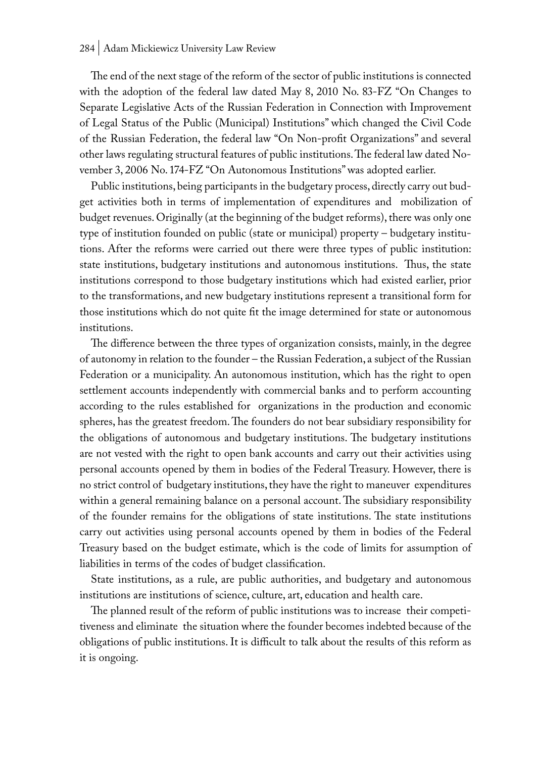The end of the next stage of the reform of the sector of public institutions is connected with the adoption of the federal law dated May 8, 2010 No. 83-FZ "On Changes to Separate Legislative Acts of the Russian Federation in Connection with Improvement of Legal Status of the Public (Municipal) Institutions" which changed the Civil Code of the Russian Federation, the federal law "On Non-profit Organizations" and several other laws regulating structural features of public institutions. The federal law dated November 3, 2006 No. 174-FZ "On Autonomous Institutions" was adopted earlier.

Public institutions, being participants in the budgetary process, directly carry out budget activities both in terms of implementation of expenditures and mobilization of budget revenues. Originally (at the beginning of the budget reforms), there was only one type of institution founded on public (state or municipal) property – budgetary institutions. After the reforms were carried out there were three types of public institution: state institutions, budgetary institutions and autonomous institutions. Thus, the state institutions correspond to those budgetary institutions which had existed earlier, prior to the transformations, and new budgetary institutions represent a transitional form for those institutions which do not quite fit the image determined for state or autonomous institutions.

The difference between the three types of organization consists, mainly, in the degree of autonomy in relation to the founder – the Russian Federation, a subject of the Russian Federation or a municipality. An autonomous institution, which has the right to open settlement accounts independently with commercial banks and to perform accounting according to the rules established for organizations in the production and economic spheres, has the greatest freedom. The founders do not bear subsidiary responsibility for the obligations of autonomous and budgetary institutions. The budgetary institutions are not vested with the right to open bank accounts and carry out their activities using personal accounts opened by them in bodies of the Federal Treasury. However, there is no strict control of budgetary institutions, they have the right to maneuver expenditures within a general remaining balance on a personal account. The subsidiary responsibility of the founder remains for the obligations of state institutions. The state institutions carry out activities using personal accounts opened by them in bodies of the Federal Treasury based on the budget estimate, which is the code of limits for assumption of liabilities in terms of the codes of budget classification.

State institutions, as a rule, are public authorities, and budgetary and autonomous institutions are institutions of science, culture, art, education and health care.

The planned result of the reform of public institutions was to increase their competitiveness and eliminate the situation where the founder becomes indebted because of the obligations of public institutions. It is difficult to talk about the results of this reform as it is ongoing.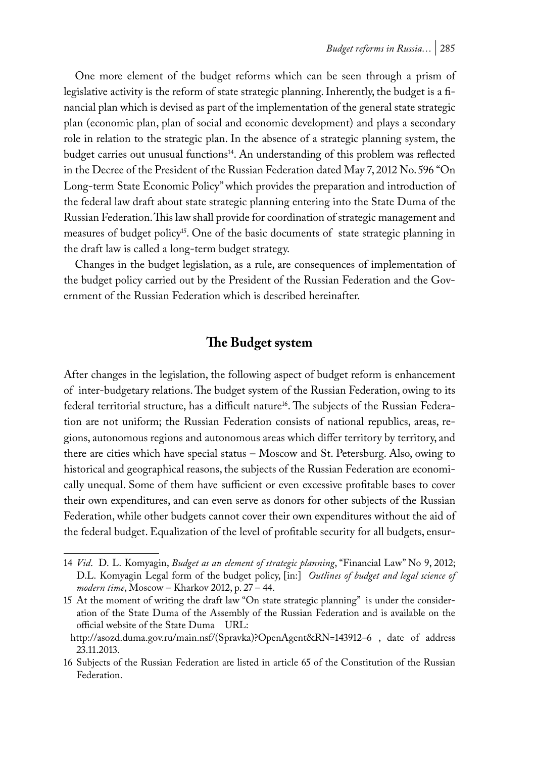One more element of the budget reforms which can be seen through a prism of legislative activity is the reform of state strategic planning. Inherently, the budget is a financial plan which is devised as part of the implementation of the general state strategic plan (economic plan, plan of social and economic development) and plays a secondary role in relation to the strategic plan. In the absence of a strategic planning system, the budget carries out unusual functions<sup>14</sup>. An understanding of this problem was reflected in the Decree of the President of the Russian Federation dated May 7, 2012 No. 596 "On Long-term State Economic Policy" which provides the preparation and introduction of the federal law draft about state strategic planning entering into the State Duma of the Russian Federation. This law shall provide for coordination of strategic management and measures of budget policy<sup>15</sup>. One of the basic documents of state strategic planning in the draft law is called a long-term budget strategy.

Changes in the budget legislation, as a rule, are consequences of implementation of the budget policy carried out by the President of the Russian Federation and the Government of the Russian Federation which is described hereinafter.

### **The Budget system**

After changes in the legislation, the following aspect of budget reform is enhancement of inter-budgetary relations. The budget system of the Russian Federation, owing to its federal territorial structure, has a difficult nature<sup>16</sup>. The subjects of the Russian Federation are not uniform; the Russian Federation consists of national republics, areas, regions, autonomous regions and autonomous areas which differ territory by territory, and there are cities which have special status – Moscow and St. Petersburg. Also, owing to historical and geographical reasons, the subjects of the Russian Federation are economically unequal. Some of them have sufficient or even excessive profitable bases to cover their own expenditures, and can even serve as donors for other subjects of the Russian Federation, while other budgets cannot cover their own expenditures without the aid of the federal budget. Equalization of the level of profitable security for all budgets, ensur-

<sup>14</sup> *Vid*. D. L. Komyagin, *Budget as an element of strategic planning*, "Financial Law" No 9, 2012; D.L. Komyagin Legal form of the budget policy, [in:] *Outlines of budget and legal science of modern time*, Moscow – Kharkov 2012, p. 27 – 44.

<sup>15</sup> At the moment of writing the draft law "On state strategic planning" is under the consideration of the State Duma of the Assembly of the Russian Federation and is available on the official website of the State Duma URL:

http://asozd.duma.gov.ru/main.nsf/(Spravka)?OpenAgent&RN=143912–6 , date of address 23.11.2013.

<sup>16</sup> Subjects of the Russian Federation are listed in article 65 of the Constitution of the Russian Federation.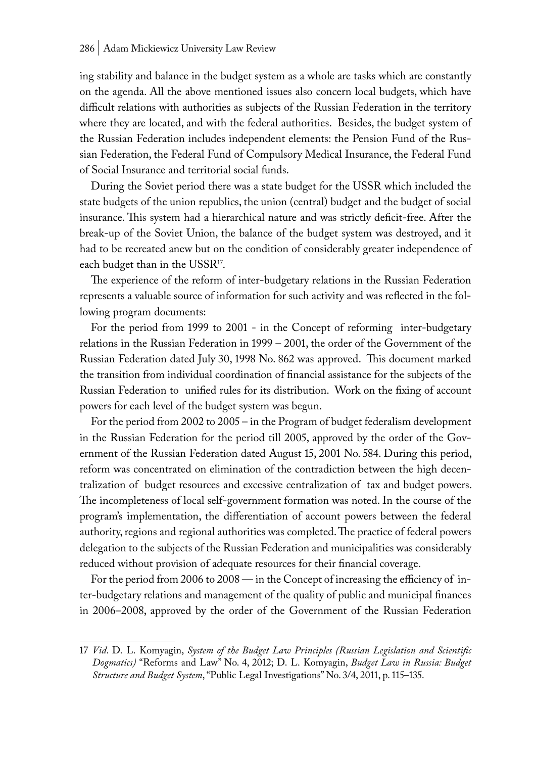ing stability and balance in the budget system as a whole are tasks which are constantly on the agenda. All the above mentioned issues also concern local budgets, which have difficult relations with authorities as subjects of the Russian Federation in the territory where they are located, and with the federal authorities. Besides, the budget system of the Russian Federation includes independent elements: the Pension Fund of the Russian Federation, the Federal Fund of Compulsory Medical Insurance, the Federal Fund of Social Insurance and territorial social funds.

During the Soviet period there was a state budget for the USSR which included the state budgets of the union republics, the union (central) budget and the budget of social insurance. This system had a hierarchical nature and was strictly deficit-free. After the break-up of the Soviet Union, the balance of the budget system was destroyed, and it had to be recreated anew but on the condition of considerably greater independence of each budget than in the USSR<sup>17</sup>.

The experience of the reform of inter-budgetary relations in the Russian Federation represents a valuable source of information for such activity and was reflected in the following program documents:

For the period from 1999 to 2001 - in the Concept of reforming inter-budgetary relations in the Russian Federation in 1999 – 2001, the order of the Government of the Russian Federation dated July 30, 1998 No. 862 was approved. This document marked the transition from individual coordination of financial assistance for the subjects of the Russian Federation to unified rules for its distribution. Work on the fixing of account powers for each level of the budget system was begun.

For the period from 2002 to 2005 – in the Program of budget federalism development in the Russian Federation for the period till 2005, approved by the order of the Government of the Russian Federation dated August 15, 2001 No. 584. During this period, reform was concentrated on elimination of the contradiction between the high decentralization of budget resources and excessive centralization of tax and budget powers. The incompleteness of local self-government formation was noted. In the course of the program's implementation, the differentiation of account powers between the federal authority, regions and regional authorities was completed. The practice of federal powers delegation to the subjects of the Russian Federation and municipalities was considerably reduced without provision of adequate resources for their financial coverage.

For the period from 2006 to 2008 — in the Concept of increasing the efficiency of inter-budgetary relations and management of the quality of public and municipal finances in 2006–2008, approved by the order of the Government of the Russian Federation

<sup>17</sup> *Vid*. D. L. Komyagin, *System of the Budget Law Principles (Russian Legislation and Scientific Dogmatics)* "Reforms and Law" No. 4, 2012; D. L. Komyagin, *Budget Law in Russia: Budget Structure and Budget System*, "Public Legal Investigations" No. 3/4, 2011, p. 115–135.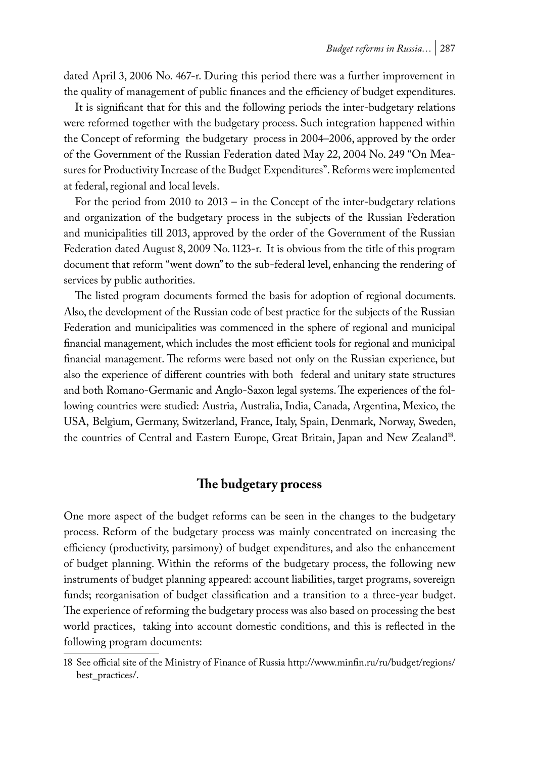dated April 3, 2006 No. 467-r. During this period there was a further improvement in the quality of management of public finances and the efficiency of budget expenditures.

It is significant that for this and the following periods the inter-budgetary relations were reformed together with the budgetary process. Such integration happened within the Concept of reforming the budgetary process in 2004–2006, approved by the order of the Government of the Russian Federation dated May 22, 2004 No. 249 "On Measures for Productivity Increase of the Budget Expenditures". Reforms were implemented at federal, regional and local levels.

For the period from 2010 to 2013 – in the Concept of the inter-budgetary relations and organization of the budgetary process in the subjects of the Russian Federation and municipalities till 2013, approved by the order of the Government of the Russian Federation dated August 8, 2009 No. 1123-r. It is obvious from the title of this program document that reform "went down" to the sub-federal level, enhancing the rendering of services by public authorities.

The listed program documents formed the basis for adoption of regional documents. Also, the development of the Russian code of best practice for the subjects of the Russian Federation and municipalities was commenced in the sphere of regional and municipal financial management, which includes the most efficient tools for regional and municipal financial management. The reforms were based not only on the Russian experience, but also the experience of different countries with both federal and unitary state structures and both Romano-Germanic and Anglo-Saxon legal systems. The experiences of the following countries were studied: Austria, Australia, India, Canada, Argentina, Mexico, the USA, Belgium, Germany, Switzerland, France, Italy, Spain, Denmark, Norway, Sweden, the countries of Central and Eastern Europe, Great Britain, Japan and New Zealand<sup>18</sup>.

## **The budgetary process**

One more aspect of the budget reforms can be seen in the changes to the budgetary process. Reform of the budgetary process was mainly concentrated on increasing the efficiency (productivity, parsimony) of budget expenditures, and also the enhancement of budget planning. Within the reforms of the budgetary process, the following new instruments of budget planning appeared: account liabilities, target programs, sovereign funds; reorganisation of budget classification and a transition to a three-year budget. The experience of reforming the budgetary process was also based on processing the best world practices, taking into account domestic conditions, and this is reflected in the following program documents:

<sup>18</sup> See official site of the Ministry of Finance of Russia http://www.minfin.ru/ru/budget/regions/ best\_practices/.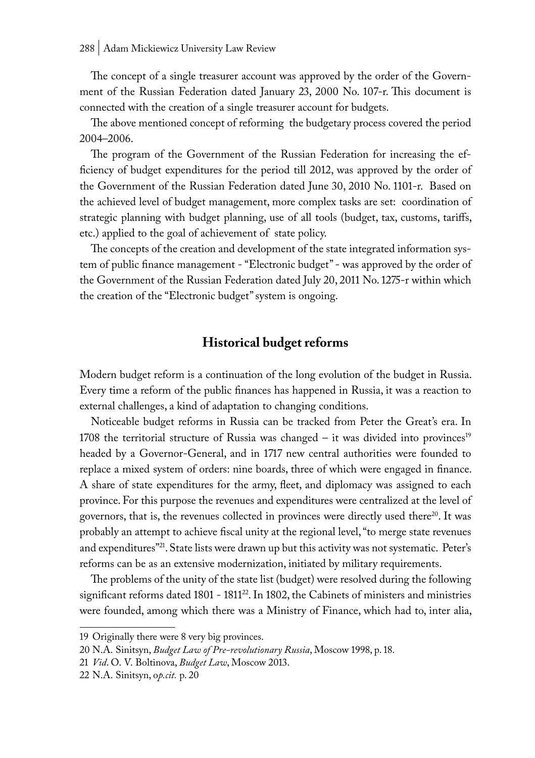The concept of a single treasurer account was approved by the order of the Government of the Russian Federation dated January 23, 2000 No. 107-r. This document is connected with the creation of a single treasurer account for budgets.

The above mentioned concept of reforming the budgetary process covered the period 2004–2006.

The program of the Government of the Russian Federation for increasing the efficiency of budget expenditures for the period till 2012, was approved by the order of the Government of the Russian Federation dated June 30, 2010 No. 1101-r. Based on the achieved level of budget management, more complex tasks are set: coordination of strategic planning with budget planning, use of all tools (budget, tax, customs, tariffs, etc.) applied to the goal of achievement of state policy.

The concepts of the creation and development of the state integrated information system of public finance management - "Electronic budget" - was approved by the order of the Government of the Russian Federation dated July 20, 2011 No. 1275-r within which the creation of the "Electronic budget" system is ongoing.

### **Historical budget reforms**

Modern budget reform is a continuation of the long evolution of the budget in Russia. Every time a reform of the public finances has happened in Russia, it was a reaction to external challenges, a kind of adaptation to changing conditions.

Noticeable budget reforms in Russia can be tracked from Peter the Great's era. In 1708 the territorial structure of Russia was changed  $-$  it was divided into provinces<sup>19</sup> headed by a Governor-General, and in 1717 new central authorities were founded to replace a mixed system of orders: nine boards, three of which were engaged in finance. A share of state expenditures for the army, fleet, and diplomacy was assigned to each province. For this purpose the revenues and expenditures were centralized at the level of governors, that is, the revenues collected in provinces were directly used there<sup>20</sup>. It was probably an attempt to achieve fiscal unity at the regional level, "to merge state revenues and expenditures"<sup>21</sup>. State lists were drawn up but this activity was not systematic. Peter's reforms can be as an extensive modernization, initiated by military requirements.

The problems of the unity of the state list (budget) were resolved during the following significant reforms dated 1801 - 1811<sup>22</sup>. In 1802, the Cabinets of ministers and ministries were founded, among which there was a Ministry of Finance, which had to, inter alia,

<sup>19</sup> Originally there were 8 very big provinces.

<sup>20</sup> N.A. Sinitsyn, *Budget Law of Pre-revolutionary Russia*, Moscow 1998, p. 18.

<sup>21</sup> *Vid*. O. V. Boltinova, *Budget Law*, Moscow 2013.

<sup>22</sup> N.A. Sinitsyn, o*p.cit.* p. 20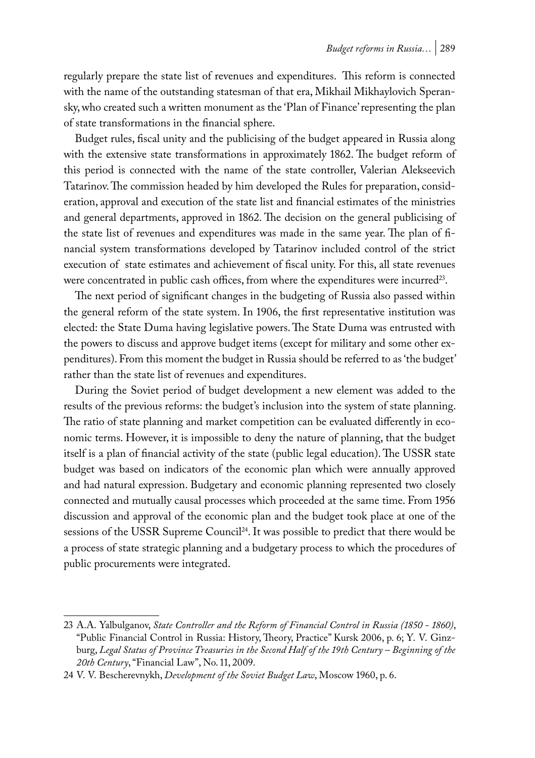regularly prepare the state list of revenues and expenditures. This reform is connected with the name of the outstanding statesman of that era, Mikhail Mikhaylovich Speransky, who created such a written monument as the 'Plan of Finance' representing the plan of state transformations in the financial sphere.

Budget rules, fiscal unity and the publicising of the budget appeared in Russia along with the extensive state transformations in approximately 1862. The budget reform of this period is connected with the name of the state controller, Valerian Alekseevich Tatarinov. The commission headed by him developed the Rules for preparation, consideration, approval and execution of the state list and financial estimates of the ministries and general departments, approved in 1862. The decision on the general publicising of the state list of revenues and expenditures was made in the same year. The plan of financial system transformations developed by Tatarinov included control of the strict execution of state estimates and achievement of fiscal unity. For this, all state revenues were concentrated in public cash offices, from where the expenditures were incurred<sup>23</sup>.

The next period of significant changes in the budgeting of Russia also passed within the general reform of the state system. In 1906, the first representative institution was elected: the State Duma having legislative powers. The State Duma was entrusted with the powers to discuss and approve budget items (except for military and some other expenditures). From this moment the budget in Russia should be referred to as 'the budget' rather than the state list of revenues and expenditures.

During the Soviet period of budget development a new element was added to the results of the previous reforms: the budget's inclusion into the system of state planning. The ratio of state planning and market competition can be evaluated differently in economic terms. However, it is impossible to deny the nature of planning, that the budget itself is a plan of financial activity of the state (public legal education). The USSR state budget was based on indicators of the economic plan which were annually approved and had natural expression. Budgetary and economic planning represented two closely connected and mutually causal processes which proceeded at the same time. From 1956 discussion and approval of the economic plan and the budget took place at one of the sessions of the USSR Supreme Council<sup>24</sup>. It was possible to predict that there would be a process of state strategic planning and a budgetary process to which the procedures of public procurements were integrated.

<sup>23</sup> A.A. Yalbulganov, *State Controller and the Reform of Financial Control in Russia (1850 - 1860)*, "Public Financial Control in Russia: History, Theory, Practice" Kursk 2006, p. 6; Y. V. Ginzburg, *Legal Status of Province Treasuries in the Second Half of the 19th Century – Beginning of the 20th Century*, "Financial Law", No. 11, 2009.

<sup>24</sup> V. V. Bescherevnykh, *Development of the Soviet Budget Law*, Moscow 1960, p. 6.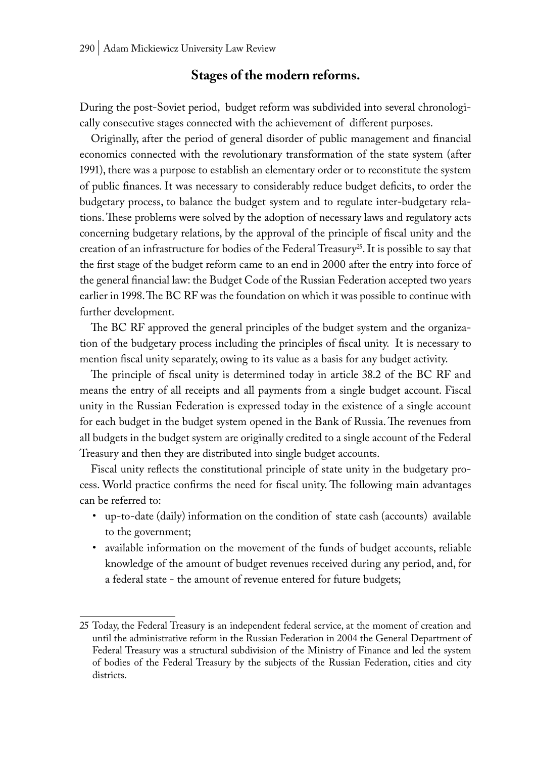## **Stages of the modern reforms.**

During the post-Soviet period, budget reform was subdivided into several chronologically consecutive stages connected with the achievement of different purposes.

Originally, after the period of general disorder of public management and financial economics connected with the revolutionary transformation of the state system (after 1991), there was a purpose to establish an elementary order or to reconstitute the system of public finances. It was necessary to considerably reduce budget deficits, to order the budgetary process, to balance the budget system and to regulate inter-budgetary relations. These problems were solved by the adoption of necessary laws and regulatory acts concerning budgetary relations, by the approval of the principle of fiscal unity and the creation of an infrastructure for bodies of the Federal Treasury<sup>25</sup>. It is possible to say that the first stage of the budget reform came to an end in 2000 after the entry into force of the general financial law: the Budget Code of the Russian Federation accepted two years earlier in 1998. The BC RF was the foundation on which it was possible to continue with further development.

The BC RF approved the general principles of the budget system and the organization of the budgetary process including the principles of fiscal unity. It is necessary to mention fiscal unity separately, owing to its value as a basis for any budget activity.

The principle of fiscal unity is determined today in article 38.2 of the BC RF and means the entry of all receipts and all payments from a single budget account. Fiscal unity in the Russian Federation is expressed today in the existence of a single account for each budget in the budget system opened in the Bank of Russia. The revenues from all budgets in the budget system are originally credited to a single account of the Federal Treasury and then they are distributed into single budget accounts.

Fiscal unity reflects the constitutional principle of state unity in the budgetary process. World practice confirms the need for fiscal unity. The following main advantages can be referred to:

- up-to-date (daily) information on the condition of state cash (accounts) available to the government;
- available information on the movement of the funds of budget accounts, reliable knowledge of the amount of budget revenues received during any period, and, for a federal state - the amount of revenue entered for future budgets;

<sup>25</sup> Today, the Federal Treasury is an independent federal service, at the moment of creation and until the administrative reform in the Russian Federation in 2004 the General Department of Federal Treasury was a structural subdivision of the Ministry of Finance and led the system of bodies of the Federal Treasury by the subjects of the Russian Federation, cities and city districts.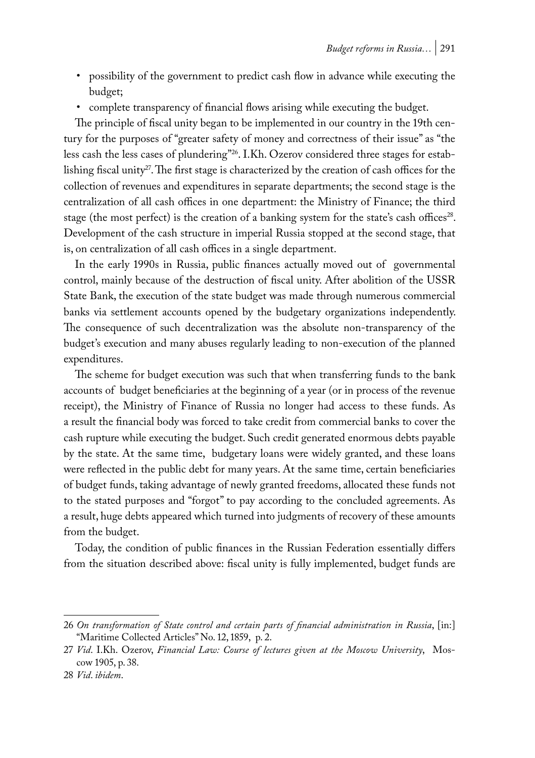- possibility of the government to predict cash flow in advance while executing the budget;
- complete transparency of financial flows arising while executing the budget.

The principle of fiscal unity began to be implemented in our country in the 19th century for the purposes of "greater safety of money and correctness of their issue" as "the less cash the less cases of plundering"26. I.Kh. Ozerov considered three stages for establishing fiscal unity<sup>27</sup>. The first stage is characterized by the creation of cash offices for the collection of revenues and expenditures in separate departments; the second stage is the centralization of all cash offices in one department: the Ministry of Finance; the third stage (the most perfect) is the creation of a banking system for the state's cash offices<sup>28</sup>. Development of the cash structure in imperial Russia stopped at the second stage, that is, on centralization of all cash offices in a single department.

In the early 1990s in Russia, public finances actually moved out of governmental control, mainly because of the destruction of fiscal unity. After abolition of the USSR State Bank, the execution of the state budget was made through numerous commercial banks via settlement accounts opened by the budgetary organizations independently. The consequence of such decentralization was the absolute non-transparency of the budget's execution and many abuses regularly leading to non-execution of the planned expenditures.

The scheme for budget execution was such that when transferring funds to the bank accounts of budget beneficiaries at the beginning of a year (or in process of the revenue receipt), the Ministry of Finance of Russia no longer had access to these funds. As a result the financial body was forced to take credit from commercial banks to cover the cash rupture while executing the budget. Such credit generated enormous debts payable by the state. At the same time, budgetary loans were widely granted, and these loans were reflected in the public debt for many years. At the same time, certain beneficiaries of budget funds, taking advantage of newly granted freedoms, allocated these funds not to the stated purposes and "forgot" to pay according to the concluded agreements. As a result, huge debts appeared which turned into judgments of recovery of these amounts from the budget.

Today, the condition of public finances in the Russian Federation essentially differs from the situation described above: fiscal unity is fully implemented, budget funds are

<sup>26</sup> *On transformation of State control and certain parts of financial administration in Russia*, [in:] "Maritime Collected Articles" No. 12, 1859, p. 2.

<sup>27</sup> *Vid*. I.Kh. Ozerov, *Financial Law: Course of lectures given at the Moscow University*, Moscow 1905, p. 38.

<sup>28</sup> *Vid*. *ibidem*.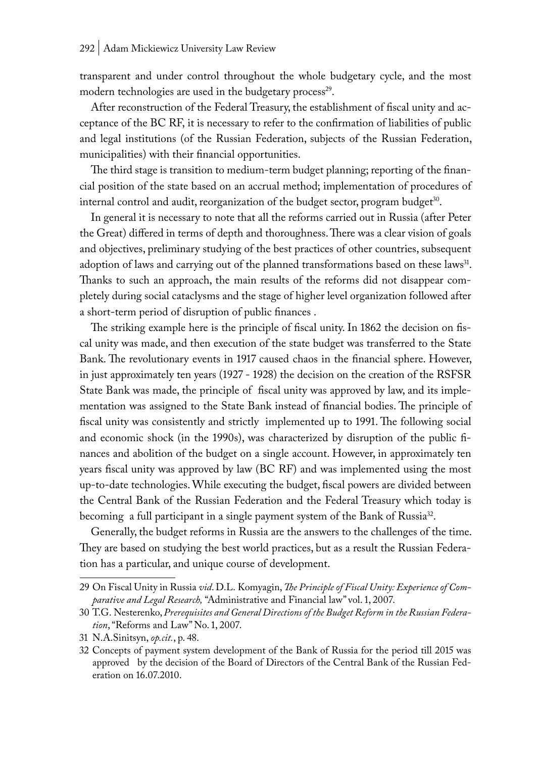transparent and under control throughout the whole budgetary cycle, and the most modern technologies are used in the budgetary process<sup>29</sup>.

After reconstruction of the Federal Treasury, the establishment of fiscal unity and acceptance of the BC RF, it is necessary to refer to the confirmation of liabilities of public and legal institutions (of the Russian Federation, subjects of the Russian Federation, municipalities) with their financial opportunities.

The third stage is transition to medium-term budget planning; reporting of the financial position of the state based on an accrual method; implementation of procedures of internal control and audit, reorganization of the budget sector, program budget<sup>30</sup>.

In general it is necessary to note that all the reforms carried out in Russia (after Peter the Great) differed in terms of depth and thoroughness. There was a clear vision of goals and objectives, preliminary studying of the best practices of other countries, subsequent adoption of laws and carrying out of the planned transformations based on these laws<sup>31</sup>. Thanks to such an approach, the main results of the reforms did not disappear completely during social cataclysms and the stage of higher level organization followed after a short-term period of disruption of public finances .

The striking example here is the principle of fiscal unity. In 1862 the decision on fiscal unity was made, and then execution of the state budget was transferred to the State Bank. The revolutionary events in 1917 caused chaos in the financial sphere. However, in just approximately ten years (1927 - 1928) the decision on the creation of the RSFSR State Bank was made, the principle of fiscal unity was approved by law, and its implementation was assigned to the State Bank instead of financial bodies. The principle of fiscal unity was consistently and strictly implemented up to 1991. The following social and economic shock (in the 1990s), was characterized by disruption of the public finances and abolition of the budget on a single account. However, in approximately ten years fiscal unity was approved by law (BC RF) and was implemented using the most up-to-date technologies. While executing the budget, fiscal powers are divided between the Central Bank of the Russian Federation and the Federal Treasury which today is becoming a full participant in a single payment system of the Bank of Russia<sup>32</sup>.

Generally, the budget reforms in Russia are the answers to the challenges of the time. They are based on studying the best world practices, but as a result the Russian Federation has a particular, and unique course of development.

<sup>29</sup> On Fiscal Unity in Russia *vid*. D.L. Komyagin, *The Principle of Fiscal Unity: Experience of Comparative and Legal Research,* "Administrative and Financial law" vol. 1, 2007.

<sup>30</sup> T.G. Nesterenko, *Prerequisites and General Directions of the Budget Reform in the Russian Federation*, "Reforms and Law" No. 1, 2007.

<sup>31</sup> N.A.Sinitsyn, *op.cit.*, p. 48.

<sup>32</sup> Concepts of payment system development of the Bank of Russia for the period till 2015 was approved by the decision of the Board of Directors of the Central Bank of the Russian Federation on 16.07.2010.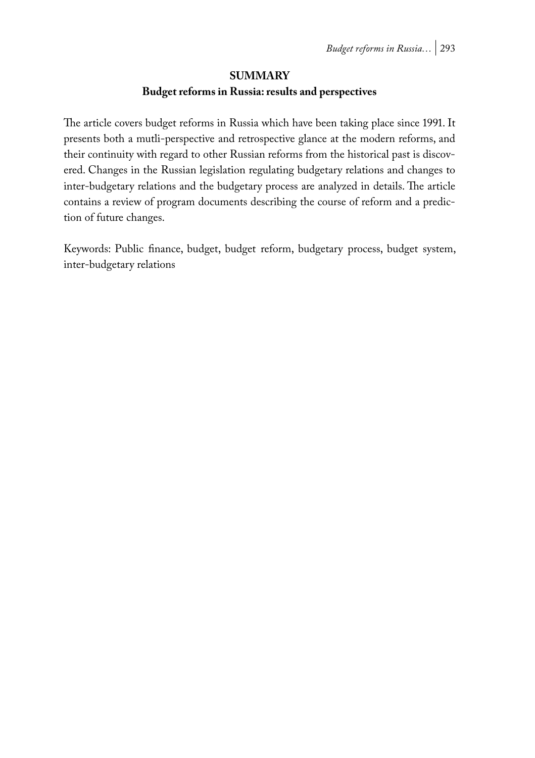#### **SUMMARY**

#### **Budget reforms in Russia: results and perspectives**

The article covers budget reforms in Russia which have been taking place since 1991. It presents both a mutli-perspective and retrospective glance at the modern reforms, and their continuity with regard to other Russian reforms from the historical past is discovered. Changes in the Russian legislation regulating budgetary relations and changes to inter-budgetary relations and the budgetary process are analyzed in details. The article contains a review of program documents describing the course of reform and a prediction of future changes.

Keywords: Public finance, budget, budget reform, budgetary process, budget system, inter-budgetary relations